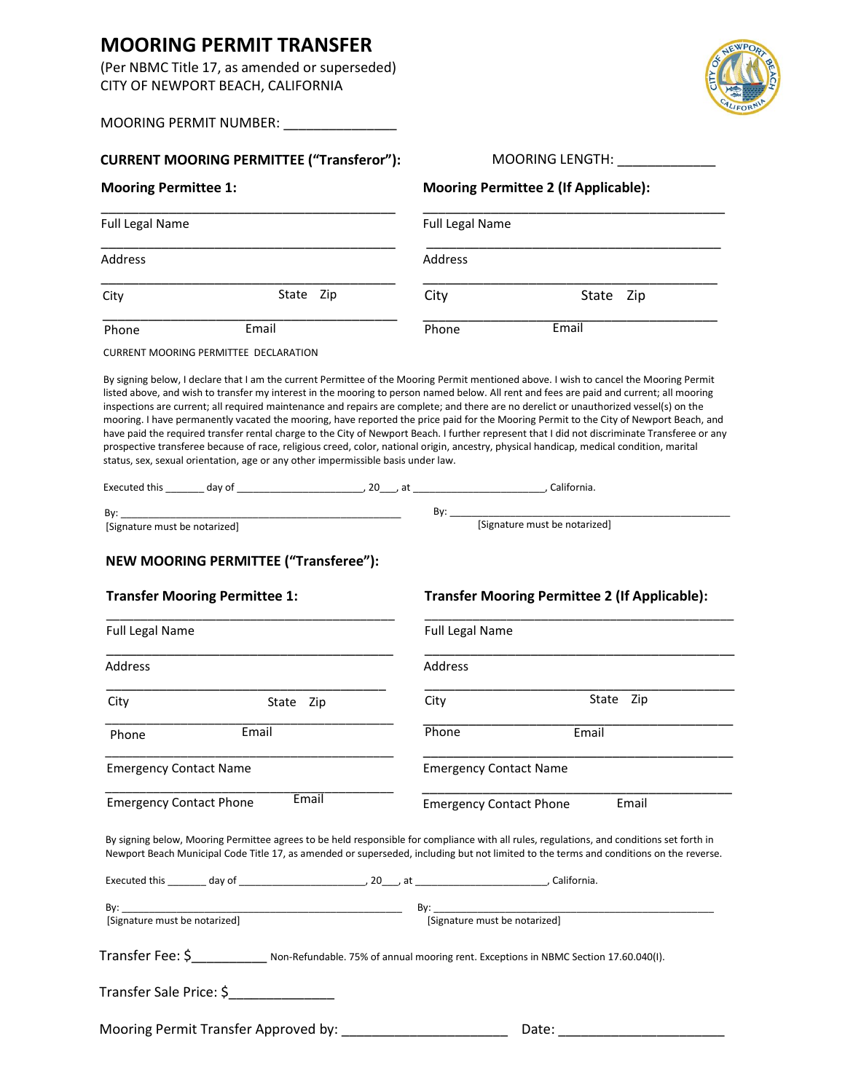## **MOORING PERMIT TRANSFER**

(Per NBMC Title 17, as amended or superseded) CITY OF NEWPORT BEACH, CALIFORNIA

MOORING PERMIT NUMBER: \_\_\_\_\_\_\_\_\_\_\_\_\_\_\_\_\_\_\_

| <b>Mooring Permittee 1:</b><br><b>Full Legal Name</b>                                                                                                                                                                                                                                                                                                                                                                                                                                                                   |                                                                       | MOORING LENGTH:                                      |  |
|-------------------------------------------------------------------------------------------------------------------------------------------------------------------------------------------------------------------------------------------------------------------------------------------------------------------------------------------------------------------------------------------------------------------------------------------------------------------------------------------------------------------------|-----------------------------------------------------------------------|------------------------------------------------------|--|
|                                                                                                                                                                                                                                                                                                                                                                                                                                                                                                                         | <b>Mooring Permittee 2 (If Applicable):</b><br><b>Full Legal Name</b> |                                                      |  |
|                                                                                                                                                                                                                                                                                                                                                                                                                                                                                                                         |                                                                       |                                                      |  |
| Address                                                                                                                                                                                                                                                                                                                                                                                                                                                                                                                 | Address                                                               |                                                      |  |
| State Zip<br>City                                                                                                                                                                                                                                                                                                                                                                                                                                                                                                       | City                                                                  | State Zip                                            |  |
| Email<br>Phone                                                                                                                                                                                                                                                                                                                                                                                                                                                                                                          | Phone                                                                 | Email                                                |  |
| <b>CURRENT MOORING PERMITTEE DECLARATION</b>                                                                                                                                                                                                                                                                                                                                                                                                                                                                            |                                                                       |                                                      |  |
| mooring. I have permanently vacated the mooring, have reported the price paid for the Mooring Permit to the City of Newport Beach, and<br>have paid the required transfer rental charge to the City of Newport Beach. I further represent that I did not discriminate Transferee or any<br>prospective transferee because of race, religious creed, color, national origin, ancestry, physical handicap, medical condition, marital<br>status, sex, sexual orientation, age or any other impermissible basis under law. |                                                                       |                                                      |  |
| By: $\qquad \qquad$                                                                                                                                                                                                                                                                                                                                                                                                                                                                                                     |                                                                       |                                                      |  |
| [Signature must be notarized]                                                                                                                                                                                                                                                                                                                                                                                                                                                                                           |                                                                       |                                                      |  |
|                                                                                                                                                                                                                                                                                                                                                                                                                                                                                                                         |                                                                       |                                                      |  |
| <b>Transfer Mooring Permittee 1:</b><br><b>Full Legal Name</b>                                                                                                                                                                                                                                                                                                                                                                                                                                                          | <b>Full Legal Name</b>                                                | <b>Transfer Mooring Permittee 2 (If Applicable):</b> |  |
| Address                                                                                                                                                                                                                                                                                                                                                                                                                                                                                                                 | Address                                                               |                                                      |  |
| City<br>State Zip                                                                                                                                                                                                                                                                                                                                                                                                                                                                                                       | City                                                                  | State Zip                                            |  |
| Email<br>Phone                                                                                                                                                                                                                                                                                                                                                                                                                                                                                                          | Phone                                                                 | Email                                                |  |
| <b>Emergency Contact Name</b>                                                                                                                                                                                                                                                                                                                                                                                                                                                                                           | <b>Emergency Contact Name</b>                                         |                                                      |  |
| Email<br><b>Emergency Contact Phone</b>                                                                                                                                                                                                                                                                                                                                                                                                                                                                                 | <b>Emergency Contact Phone</b>                                        | Email                                                |  |
| By signing below, Mooring Permittee agrees to be held responsible for compliance with all rules, regulations, and conditions set forth in<br>Newport Beach Municipal Code Title 17, as amended or superseded, including but not limited to the terms and conditions on the reverse.                                                                                                                                                                                                                                     |                                                                       |                                                      |  |
|                                                                                                                                                                                                                                                                                                                                                                                                                                                                                                                         |                                                                       |                                                      |  |
| [Signature must be notarized]                                                                                                                                                                                                                                                                                                                                                                                                                                                                                           | [Signature must be notarized]                                         |                                                      |  |

Mooring Permit Transfer Approved by: \_\_\_\_\_\_\_\_\_\_\_\_\_\_\_\_\_\_\_\_\_\_ Date: \_\_\_\_\_\_\_\_\_\_\_\_\_\_\_\_\_\_\_\_\_\_